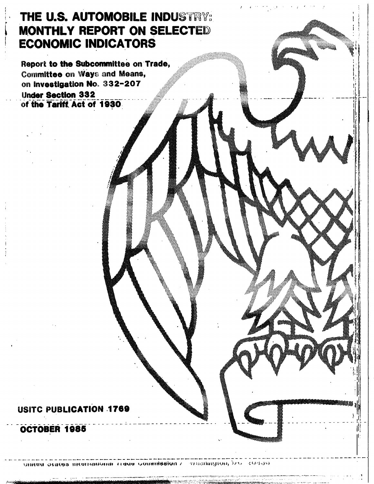# **THE U.S. AUTOMOBILE INDUSTRY: MONTHLY REPORT ON SELECTED ECONOMIC INDICATORS**

Report to the Subcommittee on Trade, Committee on Ways and Means, on Investigation No. 332-207 **Under Section 332** of the Tariff Act of 1930

### **USITC PUBLICATION 1769**

### OCTOBER 1985

ษัทเซน อิเลเซล ทิเซนเติม์อิเลีย 11**dus จิตกิที่ฮิฮโบ**ต์ 7 - วารอกกฎเบิล โภร - 394533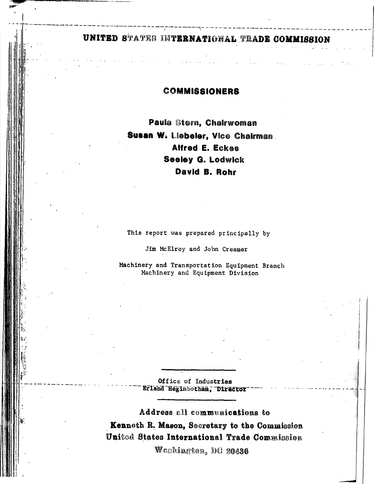## UNITED STATES INTERNATIONAL TRADE COMMISSION

### **COMMISSIONERS**

Paula Stern, Chalrwoman Susan W. Liebeler, Vice Chairman. Alfred E. Eckes **Seeley G. Lodwick** David B. Rohr

This report was prepared principally by

Jim McElroy and John Creamer

Machinery and Transportation Equipment Branch Machinery and Equipment Division

> Office of Industries Erland Heginbotham, Director

Address all communications to Kenneth R. Mason, Secretary to the Commission United States International Trade Commission

Weshington, DC 20436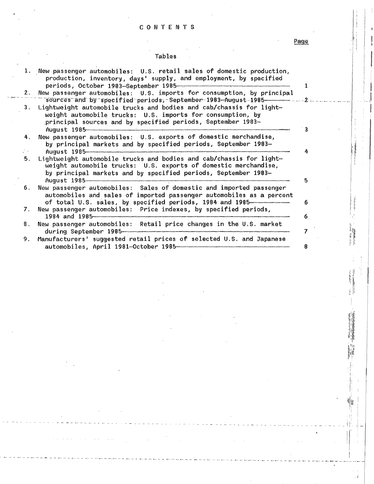#### CONTENTS

Page

### **Tables**

|    | 1. New passenger automobiles: U.S. retail sales of domestic production,<br>production, inventory, days' supply, and employment, by specified                                                                                                                                                                                                              |    |
|----|-----------------------------------------------------------------------------------------------------------------------------------------------------------------------------------------------------------------------------------------------------------------------------------------------------------------------------------------------------------|----|
| 2. | New passenger automobiles: U.S. imports for consumption, by principal                                                                                                                                                                                                                                                                                     |    |
| 3. | Lightweight automobile trucks and bodies and cab/chassis for light-<br>weight automobile trucks: U.S. imports for consumption, by<br>principal sources and by specified periods, September 1983-                                                                                                                                                          |    |
| 4. | New passenger automobiles: U.S. exports of domestic merchandise,<br>by principal markets and by specified periods, September 1983-                                                                                                                                                                                                                        |    |
|    |                                                                                                                                                                                                                                                                                                                                                           |    |
| 5. | Lightweight automobile trucks and bodies and cab/chassis for light-<br>weight automobile trucks: U.S. exports of domestic merchandise,<br>by principal markets and by specified periods, September 1983-<br>$\mathsf{Augus}$ $\mathsf{t}$ , $1985$ manusakannan manusakan manusakan manusakan manusakan manusakan manusakan manusakan manusakan manusakan | 5  |
| 6. | New passenger automobiles: Sales of domestic and imported passenger<br>automobiles and sales of imported passenger automobiles as a percent<br>of total U.S. sales, by specified periods, 1984 and 1985                                                                                                                                                   | 6  |
| 7. | New passenger automobiles: Price indexes, by specified periods,                                                                                                                                                                                                                                                                                           | 6. |
| 8. | New passenger automobiles: Retail price changes in the U.S. market                                                                                                                                                                                                                                                                                        | 7  |
| 9. | Manufacturers' suggested retail prices of selected U.S. and Japanese<br>automobiles, April 1981-October 1985-                                                                                                                                                                                                                                             | 8  |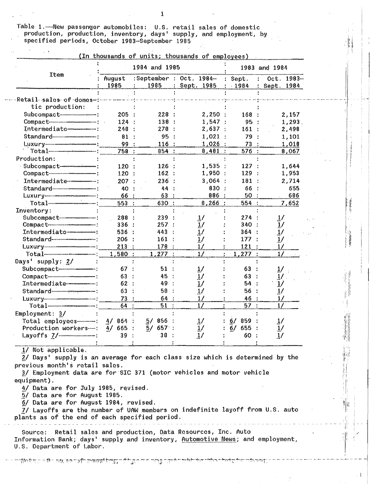Table 1.——New passenger automobiles: U.S. retail sales of domestic<br>production, production, inventory, days' supply, and employment, by<br>specified periods, October 1983—September 1985

|                                                                                                                                                                                                                                         |                | 1984 and 1985 |                                       | 1983 and 1984  |                            |  |
|-----------------------------------------------------------------------------------------------------------------------------------------------------------------------------------------------------------------------------------------|----------------|---------------|---------------------------------------|----------------|----------------------------|--|
| Item                                                                                                                                                                                                                                    | August<br>1985 | 1985          | :September : Oct. 1984-<br>Sept. 1985 | Sept.<br>.1984 | $Oct. 1983-$<br>Sept. 1984 |  |
| Retail sales of domes-                                                                                                                                                                                                                  |                |               |                                       |                |                            |  |
| tic production:                                                                                                                                                                                                                         |                |               |                                       |                |                            |  |
| Subcompact-------------------------                                                                                                                                                                                                     | 205:           | 228:          | 2,250:                                | 168            | 2,157                      |  |
|                                                                                                                                                                                                                                         | 124:           | 138 :         | 1,547:                                | 95             | 1,293.                     |  |
| Intermediate------------                                                                                                                                                                                                                | 248:           | 278           | 2,637:                                | 161            | 2,498                      |  |
|                                                                                                                                                                                                                                         | 81             | 95            | 1,021                                 | 79             | 1,101                      |  |
|                                                                                                                                                                                                                                         | 99             | 116:          | 1,026                                 | 73             | 1,018                      |  |
|                                                                                                                                                                                                                                         | 758 :          | 854 :         | 8,481:                                | 576:           | 8,067                      |  |
| Production:                                                                                                                                                                                                                             |                |               |                                       |                |                            |  |
| Subcompact-----------------------                                                                                                                                                                                                       | 120            | 126:          | 1,535:                                | 127            | 1,644                      |  |
|                                                                                                                                                                                                                                         | 120:           | 162:          | 1,950:                                | 129            | 1,953                      |  |
| Intermediate-----------------                                                                                                                                                                                                           | 207 :          | 236           | 3,064                                 | 181            | 2,714                      |  |
| Standard                                                                                                                                                                                                                                | 40             | 44            | 830 :                                 | 66             | 655                        |  |
| Luxury-communication-communication                                                                                                                                                                                                      | 66 :           | 63            | 886                                   | 50             | 686                        |  |
| Total <del> compression</del>                                                                                                                                                                                                           | 553            | 630           | 8,266                                 | 554 :          | 7,652                      |  |
| Inventory:                                                                                                                                                                                                                              |                |               |                                       |                |                            |  |
| Subcompact---------------------                                                                                                                                                                                                         | 288            | 239           |                                       | 274:           |                            |  |
| Compact-                                                                                                                                                                                                                                | 336:           | 257:          | $\frac{1}{1}$ /                       | 340:           | $\frac{1}{1}$              |  |
| Intermediate                                                                                                                                                                                                                            | 536:           | 443           | $\overline{1}$ /                      | 364:           | $\overline{1}$ /           |  |
|                                                                                                                                                                                                                                         | 206            | 161           | $\frac{1}{2}$                         | 177            | $\frac{1}{2}$              |  |
|                                                                                                                                                                                                                                         | 213            | 178           | 1/                                    | 121            | 1/                         |  |
|                                                                                                                                                                                                                                         | 1,580          | $1,277$ :     | 1/                                    | 1,277          | 1/                         |  |
| Days' supply: 2/                                                                                                                                                                                                                        |                |               |                                       |                |                            |  |
|                                                                                                                                                                                                                                         | 67             | 51:           | $\overline{1}$                        | 63             | 1/                         |  |
| Compact-                                                                                                                                                                                                                                | 63             | 45 :          | $\overline{1}$ /                      | 63             |                            |  |
| Intermediate----------------                                                                                                                                                                                                            | 62             | 49 :          | 1/                                    | 54             | $\frac{1}{2}$              |  |
|                                                                                                                                                                                                                                         | 63             | 58            | 1/                                    | 56             | $\overline{1}$ /           |  |
| Luxury-communication-communication                                                                                                                                                                                                      | 73             | 64 :          | 1/                                    | 46             | 1/                         |  |
| $Total$ $-$                                                                                                                                                                                                                             | 64             | 51            | 1/                                    | 57:            | 1/                         |  |
| Employment: 3/                                                                                                                                                                                                                          |                |               |                                       |                |                            |  |
| Total employees----------                                                                                                                                                                                                               | $4/864$ :      | 5/856:        | $\overline{1}$ /                      | $6/859$ :      | 1/                         |  |
| Production workers——: $\frac{4}{665}$ : $\frac{5}{657}$ :                                                                                                                                                                               |                |               | $\frac{1}{2}$                         | $6/655$ :      | $\overline{1}$             |  |
| Layoffs 7/                                                                                                                                                                                                                              | 39:            | 38:           | 1/                                    | 60             | $\frac{1}{2}$              |  |
| $1/$ Not applicable.<br>2/ Days' supply is an average for each class size which is determined by the<br>previous month's retail sales.<br>3/ Employment data are for SIC 371 (motor vehicles and motor vehicle<br>equipment).           |                |               |                                       |                |                            |  |
| 4/ Data are for July 1985, revised.<br>5/ Data are for August 1985.<br>6/ Data are for August 1984, revised.<br>7/ Layoffs are the number of UAW members on indefinite layoff from U.S. auto                                            |                |               |                                       |                |                            |  |
| plants as of the end of each specified period.<br>Source: Retail sales and production, Data Resources, Inc. Auto<br>Information Bank; days' supply and inventory, <u>Automotive News</u> ; and employment,<br>U.S. Department of Labor. |                |               |                                       |                |                            |  |

تستأنيها والأسام والمساحل والمستعدد والمستواطئ

i<del>na</del> m  $\neg\neg g$  **Collage** 

點

 $\sim$  1

কেতাকা

 $\mathbf 1$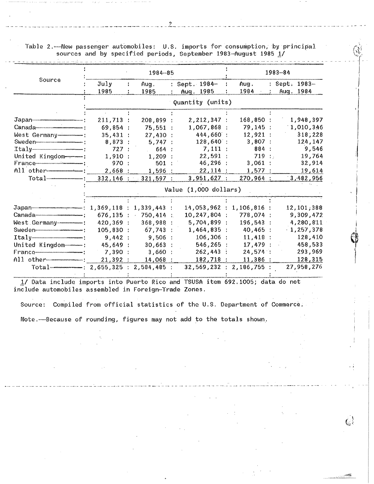Table 2.— New passenger automobiles: U.S. imports for consumption, by principal sources and by specified periods, September 1983-August 1985 1/

|                                                                         |                         | 1984-85 | 1983-84                              |   |                       |                 |  |               |
|-------------------------------------------------------------------------|-------------------------|---------|--------------------------------------|---|-----------------------|-----------------|--|---------------|
| Source                                                                  | July                    |         | Aug.                                 |   | : Sept. 1984-         | Aug.            |  | : Sept. 1983- |
|                                                                         | 1985                    |         | 1985                                 |   | Aug. 1985             | 1984            |  | Aug. 1984     |
|                                                                         |                         |         |                                      |   | Quantity (units)      |                 |  |               |
|                                                                         |                         |         |                                      |   |                       |                 |  |               |
|                                                                         | 211,713:                |         | 208,899                              |   | 2, 212, 347 :         | 168,850:        |  | 1,948,397     |
|                                                                         | 69,854:                 |         | 75,551                               |   | 1,067,868             | 79,145:         |  | 1,010,346     |
| West Germany----------                                                  | 35,431:                 |         | 27,430:                              |   | 444,660 :             | 12,921:         |  | 318,228       |
|                                                                         | 8,873:                  |         | 5,747:                               |   | 128,640:              | 3,807:          |  | 124,147       |
| $Italym-mum$                                                            | 727:                    |         | 664 :<br>$\mathcal{L}^{\mathcal{L}}$ |   | 7,111:                | 884:            |  | 9,546         |
| United Kingdom----                                                      | 1,910:                  |         | 1,209                                |   | 22,591                | 719:            |  | 19,764        |
|                                                                         | 970 :                   |         | 501                                  |   | 46,296                | 3,061<br>÷      |  | 32,914        |
|                                                                         | 2,668                   |         | 1,596                                |   | 22,114:               | 1,577           |  | 19,614        |
| $Total$ $-$                                                             | $332,146$ :             |         | 321,597                              |   | $3,951,627$ :         | 270,964 :       |  | 3,482,956     |
|                                                                         |                         |         |                                      |   | Value (1,000 dollars) |                 |  |               |
|                                                                         |                         |         |                                      |   |                       |                 |  |               |
|                                                                         | 1,369,118 : 1,339,443 : |         |                                      |   | 14,053,962:           | $1, 106, 816$ : |  | 12, 101, 388  |
|                                                                         | 676, 135:               |         | 750,414<br>$\sim$ $\sim$             | ÷ | $10, 247, 804$ :      | 778,074 :       |  | 9,309,472     |
|                                                                         | 420,369 :               |         | 368,988                              |   | 5,704,899:            | 196,543         |  | 4,280,811     |
|                                                                         | 105,830:                |         | 67,743                               |   | $1,464,835$ :         | 40,465 :        |  | $-1,257,378$  |
|                                                                         | 9,442:                  |         | 9,506                                |   | 106,306               | 11,418<br>÷     |  | 128,410       |
| United Kingdom ---                                                      | 45,649 :                |         | 30,663                               |   | 546,265               | 17,479:         |  | 458,533       |
|                                                                         | 7,390:                  |         | 3,660                                |   | 262,443               | 24,574:<br>÷    |  | 293,969       |
|                                                                         | 21,392:                 |         | 14,068                               |   | 182,718               | 11,386:         |  | 128,315       |
| $Total$ 70tal $\rightarrow$ 10.00 $\rightarrow$ 2,655,325 : 2,584,485 : |                         |         |                                      |   | 32,569,232:           | 2,186,755:      |  | 27,958,276    |

1/ Data include imports into Puerto Rico and TSUSA item 692.1005; data do not include automobiles assembled in Foreign-Trade Zones.

Source: Compiled from official statistics of the U.S. Department of Commerce.

 $\mathbb{C}^{\frac{1}{2}}$ 

Note.----Because of rounding, figures may not add to the totals shown.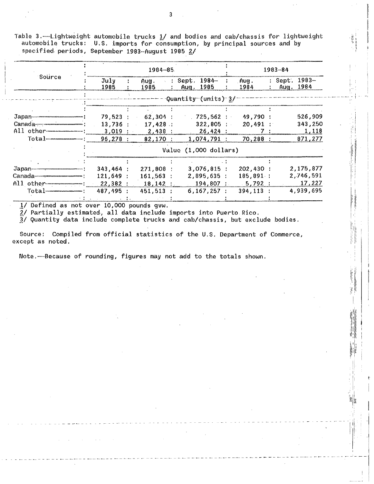Table 3.--Lightweight automobile trucks 1/ and bodies and cab/chassis for lightweight automobile trucks: U.S. imports for consumption, by principal sources and by specified periods, September 1983-August 1985 2/

|              | $1984 - 85$  |  |                                       |  |                                                        | $1983 - 84$  |  |                              |  |
|--------------|--------------|--|---------------------------------------|--|--------------------------------------------------------|--------------|--|------------------------------|--|
| Source       | July<br>1985 |  | Aug.<br>1985                          |  | $\therefore$ : Sept. 1984-<br>. : Aug. 1985            | Aug.<br>1984 |  | : Sept. 1983-<br>: Aug. 1984 |  |
|              |              |  |                                       |  | $\lceil$ Quantity $\lceil$ (units $\lceil$ 3/ $\lceil$ |              |  |                              |  |
|              |              |  |                                       |  |                                                        |              |  |                              |  |
|              |              |  | $79,523$ ; 62,304 :                   |  | $725,562$ ;                                            | 19.790:      |  | 526,909                      |  |
|              |              |  | $13,736$ : $17,428$ :                 |  | $322,805$ :                                            | 20.491:      |  | 343,250                      |  |
| All other "" |              |  | $3,019$ : 2,438 :                     |  | $26,424$ :                                             |              |  | 1,118                        |  |
|              | 96,278:      |  | $82,170$ :                            |  | 1,074,791:                                             | 70.288:      |  | 871,277                      |  |
|              |              |  |                                       |  | Value (1,000 dollars)                                  |              |  |                              |  |
|              |              |  |                                       |  |                                                        |              |  |                              |  |
|              | 343,464:     |  | 271,808:                              |  | $3.076.815$ :                                          | 202,430:     |  | 2,175,877                    |  |
|              | 121,649:     |  | $161,563$ :                           |  | $2,895,635$ :                                          | 185,891:     |  | 2,746,591                    |  |
|              |              |  | $22,382$ : 18,142 : 194,807 : 5,792 : |  |                                                        |              |  | 17,227                       |  |
|              | 487,495:     |  | 451,513:                              |  | 6,167,257 :                                            | $394, 113$ : |  | 4,939,695                    |  |
|              |              |  |                                       |  |                                                        |              |  |                              |  |

1/ Defined as not over 10,000 pounds gvw.

 $\sim 10$ 

2/ Partially estimated, all data include imports into Puerto Rico.

3/ Quantity data include complete trucks and cab/chassis, but exclude bodies.

Source: Compiled from official statistics of the U.S. Department of Commerce, except as noted.

Note.--Because of rounding, figures may not add to the totals shown.

3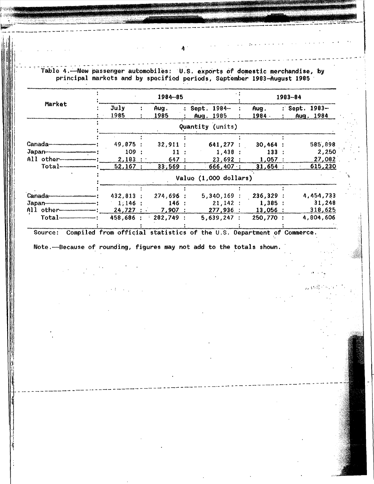Table 4.—New passenger automobiles: U.S. exports of domestic merchandise, by principal markets and by specified periods, September 1983-August 1985  $\cdot$ 1984-85 1983-84 Market July  $\ddot{\bullet}$ Aug. : Sept. 1984-Aug. : Sept. 1983-1985 1984 -1985 Aug. 1985 Aug. 1984 Quantity (units) Canada-49,875 :  $32,911:$ 641,277 :  $30,464:$ 585,898 Japan-------------109 :  $11:$  $1,438:$  $133:$ 2,250 All other- $2,183:$ 27,082 647 :  $23,692:$  $1,057:$ Total- $52,167:$  $33,569:$  $666,407:$  $31,654:$ <u>615,230</u> Value (1,000 dollars) **Canada-**432,813 : 274,696 : 5,340,169 : 236,329 : 4,454,733 Japan- $1,146:$ 31,248  $21,142:$  $1,385:$ 146 : All other 24,727 7,907 277,936 :  $13,056$ 318,625 Total-458,686 : 282,749 :  $5,639,247:$ 250,770 : 4,804,606 Source: Compiled from official statistics of the U.S. Department of Commerce. Note.--Because of rounding, figures may not add to the totals shown.

Λ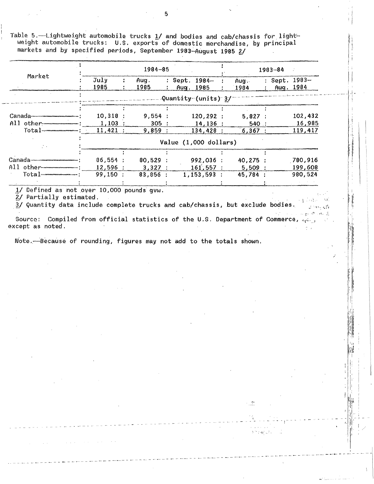Table 5.-Lightweight automobile trucks 1/ and bodies and cab/chassis for lightweight automobile trucks: U.S. exports of domestic merchandise, by principal markets and by specified periods, September 1983-August 1985 2/

|                                                  | $1984 - 85$  |  |              |           |                            |   | $1983 - 84$  |  |               |           |
|--------------------------------------------------|--------------|--|--------------|-----------|----------------------------|---|--------------|--|---------------|-----------|
| Market                                           | July<br>1985 |  | Aug.<br>1985 | $\cdot$ . | : Sept. 1984-<br>Aug. 1985 | ÷ | Aug.<br>1984 |  | : Sept. 1983- | Aug. 1984 |
|                                                  |              |  |              |           | $-$ Quantity-(units) 3/    |   |              |  |               |           |
|                                                  |              |  |              |           |                            |   |              |  |               |           |
| $\text{Gangda}$ . The continuum of $\text{Gang}$ | $10,318$ :   |  | 9,554:       |           | $120, 292$ :               |   | 5,827:       |  |               | 102,432   |
| All other                                        | 1.103:       |  | $305$ :      |           | 14,136:                    |   | 540:         |  |               | 16,985    |
| $\text{Total}$ $\text{}}$                        | $11,421$ :   |  | 9.859:       |           | 134,428:                   |   | 6.367:       |  |               | 119,417   |
|                                                  |              |  |              |           | Value (1,000 dollars)      |   |              |  |               |           |
|                                                  |              |  |              |           |                            |   |              |  |               |           |
|                                                  | 86,554:      |  | 80,529:      |           | 992,036:                   |   | 40.275:      |  |               | 780,916   |
| All other                                        | $12,596$ :   |  | 3.327:       |           | $161,557$ :                |   | 5,509:       |  |               | 199,608   |
|                                                  | 99,150:      |  | 83,856:      |           | 1,153,593:                 |   | $45,784$ :   |  |               | 980,524   |
|                                                  |              |  |              |           |                            |   |              |  |               |           |

1/ Defined as not over 10,000 pounds quw.

 $\sim 10^{-1}$  km

2/ Partially estimated.

3/ Quantity data include complete trucks and cab/chassis, but exclude bodies.  $\mathcal{L}^{\mathcal{P}}$ 

 $\mathcal{L}$ 

ilit.

Source: Compiled from official statistics of the U.S. Department of Commerce, and except as noted.

Note. Because of rounding, figures may not add to the totals shown.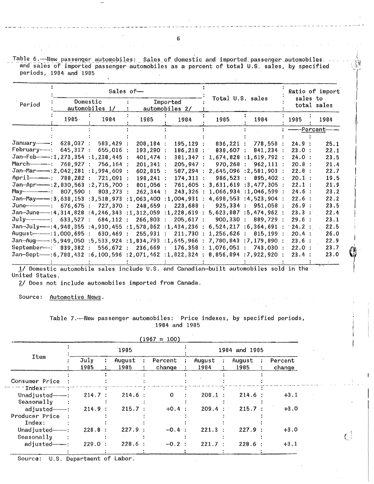Table 6. Mew passenger automobiles: Sales of domestic and imported passenger automobiles. and sales of imported passenger automobiles as a percent of total U.S. sales, by specified periods, 1984 and 1985

|                                                                                 |             |                            | Sales of-           |                            |                  |                                     | Ratio of import<br>sales to<br>total sales |      |  |
|---------------------------------------------------------------------------------|-------------|----------------------------|---------------------|----------------------------|------------------|-------------------------------------|--------------------------------------------|------|--|
| Period                                                                          |             | Domestic<br>automobiles 1/ |                     | Imported<br>automobiles 2/ | Total U.S. sales |                                     |                                            |      |  |
|                                                                                 | $1985 -$    | 1984                       |                     | 1984                       | 1985             | 1984                                | 1985                                       | 1984 |  |
|                                                                                 |             |                            |                     |                            |                  |                                     | ----------Percent                          |      |  |
|                                                                                 | 628,037:    | 583,429                    | 208, 184:           | 195, 129:                  | $836,221$ :      | 778,558                             | 24.9:                                      | 25.1 |  |
|                                                                                 | $645,317$ : | 655,016                    | 193,290:            | 186,218                    | 838,607 :        | 841,234                             | 23.0:                                      | 22.1 |  |
| Jan-Feb----1, 273, 354:1, 238, 445                                              |             |                            | 401,474:            | 381,347                    |                  | $1,674,828$ : 1, 619, 792           | 24.0:                                      | 23.5 |  |
|                                                                                 | 768.927:    | $756, 164$ :               | 201, 341:           | 205,947:                   | 970,268          | $962, 111$ :<br>$\mathcal{A}^{\pm}$ | 20.8:                                      | 21.4 |  |
|                                                                                 |             |                            | $602, 815$ :        | 587,294                    | 2,645,096        | 12,581,903                          | 22.8:                                      | 22.7 |  |
| $Ppr11$ $788,282;$                                                              |             | 721.091:                   | $198, 241$ :        | 174,311                    | $986,523$ :      | 895,402                             | 20.1:                                      | 19.5 |  |
|                                                                                 |             |                            | 801,056:            | 761,605                    | 3,631,619        | 13,477,305                          | 22.1:                                      | 21:9 |  |
| May 207,590 :                                                                   |             | 803,273                    | 262,344             | 243,326                    |                  | $1,066,934$ : 1,046,599             | 24.6:                                      | 23.2 |  |
|                                                                                 |             |                            | : 1,063,400         | : 1,004,931                |                  | 4,698,553;4,523,904                 | 22.6:                                      | 22.2 |  |
|                                                                                 |             | 727.370                    | 248.659             | 223,688:                   | 925,334 :        | 951,058                             | 26.9:                                      | 23.5 |  |
| Jan-June---14,314,828 :4,246,343                                                |             |                            | : 1, 312, 059       | :1,228,619<br>$\sim 10$    |                  | $5,623,887$ : $5,474,962$           | 23.3 :                                     | 22.4 |  |
|                                                                                 |             | 684, 112:                  | 266,803             | 205,617:                   | 900, 330 :       | 889,729                             | 29.6:                                      | 23.1 |  |
| Jan-July -- : 4, 948, 355 : 4, 930, 455 : 1, 578, 862 : 1, 434, 236             |             |                            |                     |                            |                  | $6,524,217$ : $6,364,691$           | 24.2:                                      | 22.5 |  |
| August---------------- : 1,000,695 :                                            |             | $630,469$ :                | 255,931:            | 211,730                    | 1,256,626        | 815,199                             | 20.4 :                                     | 26.0 |  |
|                                                                                 |             |                            |                     |                            |                  |                                     | 23.6:                                      | 22.9 |  |
| September-1 839,382 :                                                           |             |                            | 556,672 : 236,669 : | 176,358                    | : 1,076,051:     | 743,030 :                           | 22.0:                                      | 23.7 |  |
| Jan-Sept-----:6,788,432 :6,100,596 :2,071,462 :1,822,324 : 8,856,894 :7,922,920 |             |                            |                     |                            |                  |                                     | 23.4                                       | 23.0 |  |
|                                                                                 |             |                            |                     |                            |                  |                                     |                                            |      |  |

1/ Domestic automobile sales include U.S. and Canadian-built automobiles sold in the United States.

2/ Does not include automobiles imported from Canada.

Source: Automotive News.

 $\omega \rightarrow \omega$ 

 $\sim$ 

Table 7.— New passenger automobiles: Price indexes, by specified periods, 1984 and 1985

|                                         |                   |                     | $(1967 = 100)$    |                             |                                 |                   |  |  |  |  |
|-----------------------------------------|-------------------|---------------------|-------------------|-----------------------------|---------------------------------|-------------------|--|--|--|--|
|                                         |                   | 1985                |                   | 1984 and 1985               |                                 |                   |  |  |  |  |
| Item                                    | July<br>÷<br>1985 | August<br>÷<br>1985 | Percent<br>change | August<br>$\cdot$ :<br>1984 | August<br>$\cdot$<br>1985<br>11 | Percent<br>change |  |  |  |  |
| Consumer Price                          |                   |                     |                   |                             |                                 |                   |  |  |  |  |
| In dexT<br>Unadjusted----<br>Seasonally | 214.7:            | 214.6:              | 0                 | 208.1                       | 214.6:                          | $+3.1$            |  |  |  |  |
| adjusted-------<br>Producer Price       | 214.9:            | 215.7:              | $+0.4 :$          | 209.4                       | 215.7:<br>法一个                   | $+3.0$            |  |  |  |  |
| Indeed:<br>$Unadjusted$ $$              | 228.8:            | 227.9:              | $-0.4$ :          | 221.3                       | 227.9:                          | $+3.0$            |  |  |  |  |
| Seasonally<br>adjusted----              | 229.0:            | 228.6               | $-0.2$ :          | 221.7                       | 228.6:                          | $+3.1$            |  |  |  |  |

Source: U.S. Department of Labor.

6

 $\Delta \sim 10^7$ 

 $C^{\frac{1}{2}}$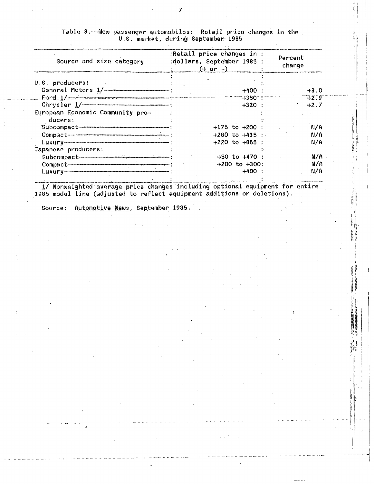| Source and size category                                                                                | :Retail price changes in :<br>:dollars, September 1985 :<br>$(+ or -)$ | Percent<br>change |
|---------------------------------------------------------------------------------------------------------|------------------------------------------------------------------------|-------------------|
| U.S. producers:                                                                                         |                                                                        |                   |
|                                                                                                         | $+400:$                                                                | $+3.0$            |
| $\epsilon = 1/\epsilon$ . $1/\epsilon$ . The contract of the complete second construction of $\epsilon$ | ‴+350 <sup>–</sup> !`                                                  | 7.2.9             |
|                                                                                                         | $+320:$                                                                | $+2.7$            |
| European Economic Community pro-                                                                        |                                                                        |                   |
| ducers:                                                                                                 |                                                                        |                   |
|                                                                                                         | $+175$ to $+200$ :                                                     | N/A               |
|                                                                                                         | $+280$ to $+435$ :                                                     | N/A               |
|                                                                                                         | $+220$ to $+855$ :                                                     | N/A               |
| Japanese producers:                                                                                     |                                                                        |                   |
|                                                                                                         | $+50$ to $+470$ :                                                      | N/A               |
|                                                                                                         | $+200$ to $+300$ :                                                     | N/A               |
|                                                                                                         | $+400:$                                                                | N/A               |
|                                                                                                         |                                                                        |                   |

Table 8.——New passenger automobiles: Retail price changes in the<br>U.S. market, during September 1985

1/ Nonweighted average price changes including optional equipment for entire 1985 model line (adjusted to reflect equipment additions or deletions).

Source: Automotive News, September 1985.